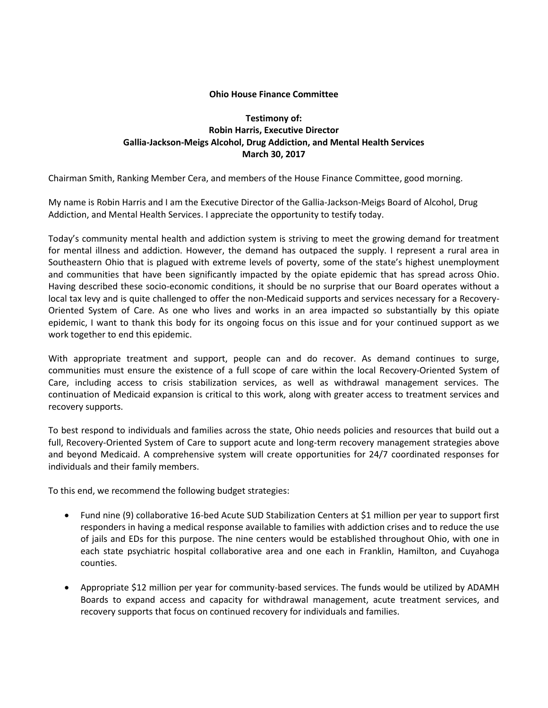## **Ohio House Finance Committee**

## **Testimony of: Robin Harris, Executive Director Gallia-Jackson-Meigs Alcohol, Drug Addiction, and Mental Health Services March 30, 2017**

Chairman Smith, Ranking Member Cera, and members of the House Finance Committee, good morning.

My name is Robin Harris and I am the Executive Director of the Gallia-Jackson-Meigs Board of Alcohol, Drug Addiction, and Mental Health Services. I appreciate the opportunity to testify today.

Today's community mental health and addiction system is striving to meet the growing demand for treatment for mental illness and addiction. However, the demand has outpaced the supply. I represent a rural area in Southeastern Ohio that is plagued with extreme levels of poverty, some of the state's highest unemployment and communities that have been significantly impacted by the opiate epidemic that has spread across Ohio. Having described these socio-economic conditions, it should be no surprise that our Board operates without a local tax levy and is quite challenged to offer the non-Medicaid supports and services necessary for a Recovery-Oriented System of Care. As one who lives and works in an area impacted so substantially by this opiate epidemic, I want to thank this body for its ongoing focus on this issue and for your continued support as we work together to end this epidemic.

With appropriate treatment and support, people can and do recover. As demand continues to surge, communities must ensure the existence of a full scope of care within the local Recovery-Oriented System of Care, including access to crisis stabilization services, as well as withdrawal management services. The continuation of Medicaid expansion is critical to this work, along with greater access to treatment services and recovery supports.

To best respond to individuals and families across the state, Ohio needs policies and resources that build out a full, Recovery-Oriented System of Care to support acute and long-term recovery management strategies above and beyond Medicaid. A comprehensive system will create opportunities for 24/7 coordinated responses for individuals and their family members.

To this end, we recommend the following budget strategies:

- Fund nine (9) collaborative 16-bed Acute SUD Stabilization Centers at \$1 million per year to support first responders in having a medical response available to families with addiction crises and to reduce the use of jails and EDs for this purpose. The nine centers would be established throughout Ohio, with one in each state psychiatric hospital collaborative area and one each in Franklin, Hamilton, and Cuyahoga counties.
- Appropriate \$12 million per year for community-based services. The funds would be utilized by ADAMH Boards to expand access and capacity for withdrawal management, acute treatment services, and recovery supports that focus on continued recovery for individuals and families.